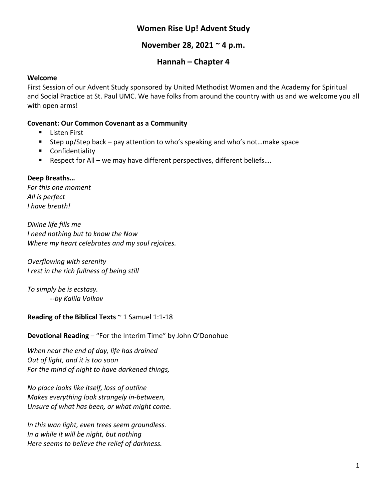# **Women Rise Up! Advent Study**

# **November 28, 2021 ~ 4 p.m.**

# **Hannah – Chapter 4**

### **Welcome**

First Session of our Advent Study sponsored by United Methodist Women and the Academy for Spiritual and Social Practice at St. Paul UMC. We have folks from around the country with us and we welcome you all with open arms!

### **Covenant: Our Common Covenant as a Community**

- Listen First
- Step up/Step back pay attention to who's speaking and who's not…make space
- Confidentiality
- Respect for All we may have different perspectives, different beliefs....

#### **Deep Breaths…**

*For this one moment All is perfect I have breath!*

*Divine life fills me I need nothing but to know the Now Where my heart celebrates and my soul rejoices.*

*Overflowing with serenity I rest in the rich fullness of being still*

*To simply be is ecstasy. --by Kalila Volkov*

## **Reading of the Biblical Texts** ~ 1 Samuel 1:1-18

**Devotional Reading** – "For the Interim Time" by John O'Donohue

*When near the end of day, life has drained Out of light, and it is too soon For the mind of night to have darkened things,*

*No place looks like itself, loss of outline Makes everything look strangely in-between, Unsure of what has been, or what might come.*

*In this wan light, even trees seem groundless. In a while it will be night, but nothing Here seems to believe the relief of darkness.*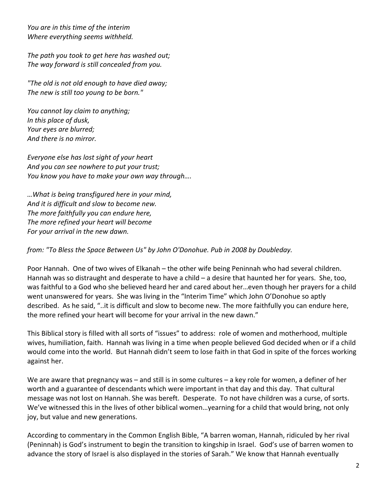*You are in this time of the interim Where everything seems withheld.*

*The path you took to get here has washed out; The way forward is still concealed from you.*

*"The old is not old enough to have died away; The new is still too young to be born."*

*You cannot lay claim to anything; In this place of dusk, Your eyes are blurred; And there is no mirror.*

*Everyone else has lost sight of your heart And you can see nowhere to put your trust; You know you have to make your own way through….*

*…What is being transfigured here in your mind, And it is difficult and slow to become new. The more faithfully you can endure here, The more refined your heart will become For your arrival in the new dawn.*

*from: "To Bless the Space Between Us" by John O'Donohue. Pub in 2008 by Doubleday.*

Poor Hannah. One of two wives of Elkanah – the other wife being Peninnah who had several children. Hannah was so distraught and desperate to have a child – a desire that haunted her for years. She, too, was faithful to a God who she believed heard her and cared about her…even though her prayers for a child went unanswered for years. She was living in the "Interim Time" which John O'Donohue so aptly described. As he said, "..it is difficult and slow to become new. The more faithfully you can endure here, the more refined your heart will become for your arrival in the new dawn."

This Biblical story is filled with all sorts of "issues" to address: role of women and motherhood, multiple wives, humiliation, faith. Hannah was living in a time when people believed God decided when or if a child would come into the world. But Hannah didn't seem to lose faith in that God in spite of the forces working against her.

We are aware that pregnancy was – and still is in some cultures – a key role for women, a definer of her worth and a guarantee of descendants which were important in that day and this day. That cultural message was not lost on Hannah. She was bereft. Desperate. To not have children was a curse, of sorts. We've witnessed this in the lives of other biblical women…yearning for a child that would bring, not only joy, but value and new generations.

According to commentary in the Common English Bible, "A barren woman, Hannah, ridiculed by her rival (Peninnah) is God's instrument to begin the transition to kingship in Israel. God's use of barren women to advance the story of Israel is also displayed in the stories of Sarah." We know that Hannah eventually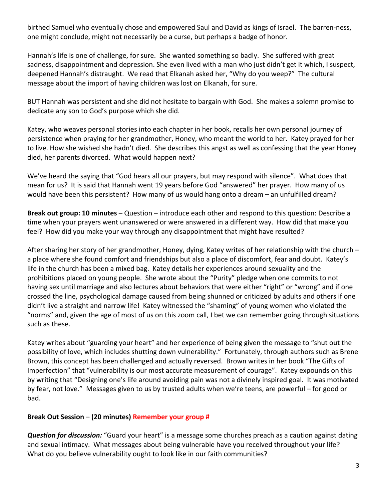birthed Samuel who eventually chose and empowered Saul and David as kings of Israel. The barren-ness, one might conclude, might not necessarily be a curse, but perhaps a badge of honor.

Hannah's life is one of challenge, for sure. She wanted something so badly. She suffered with great sadness, disappointment and depression. She even lived with a man who just didn't get it which, I suspect, deepened Hannah's distraught. We read that Elkanah asked her, "Why do you weep?" The cultural message about the import of having children was lost on Elkanah, for sure.

BUT Hannah was persistent and she did not hesitate to bargain with God. She makes a solemn promise to dedicate any son to God's purpose which she did.

Katey, who weaves personal stories into each chapter in her book, recalls her own personal journey of persistence when praying for her grandmother, Honey, who meant the world to her. Katey prayed for her to live. How she wished she hadn't died. She describes this angst as well as confessing that the year Honey died, her parents divorced. What would happen next?

We've heard the saying that "God hears all our prayers, but may respond with silence". What does that mean for us? It is said that Hannah went 19 years before God "answered" her prayer. How many of us would have been this persistent? How many of us would hang onto a dream – an unfulfilled dream?

**Break out group: 10 minutes** – Question – introduce each other and respond to this question: Describe a time when your prayers went unanswered or were answered in a different way. How did that make you feel? How did you make your way through any disappointment that might have resulted?

After sharing her story of her grandmother, Honey, dying, Katey writes of her relationship with the church – a place where she found comfort and friendships but also a place of discomfort, fear and doubt. Katey's life in the church has been a mixed bag. Katey details her experiences around sexuality and the prohibitions placed on young people. She wrote about the "Purity" pledge when one commits to not having sex until marriage and also lectures about behaviors that were either "right" or "wrong" and if one crossed the line, psychological damage caused from being shunned or criticized by adults and others if one didn't live a straight and narrow life! Katey witnessed the "shaming" of young women who violated the "norms" and, given the age of most of us on this zoom call, I bet we can remember going through situations such as these.

Katey writes about "guarding your heart" and her experience of being given the message to "shut out the possibility of love, which includes shutting down vulnerability." Fortunately, through authors such as Brene Brown, this concept has been challenged and actually reversed. Brown writes in her book "The Gifts of Imperfection" that "vulnerability is our most accurate measurement of courage". Katey expounds on this by writing that "Designing one's life around avoiding pain was not a divinely inspired goal. It was motivated by fear, not love." Messages given to us by trusted adults when we're teens, are powerful – for good or bad.

## **Break Out Session** – **(20 minutes) Remember your group #**

*Question for discussion:* "Guard your heart" is a message some churches preach as a caution against dating and sexual intimacy. What messages about being vulnerable have you received throughout your life? What do you believe vulnerability ought to look like in our faith communities?